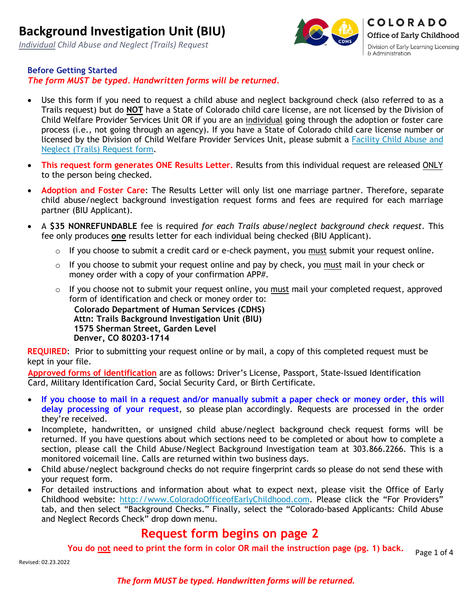*Individual Child Abuse and Neglect (Trails) Request*



#### **Before Getting Started**

*The form MUST be typed. Handwritten forms will be returned.*

- Use this form if you need to request a child abuse and neglect background check (also referred to as a Trails request) but do **NOT** have a State of Colorado child care license, are not licensed by the Division of Child Welfare Provider Services Unit OR if you are an individual going through the adoption or foster care process (i.e., not going through an agency). If you have a State of Colorado child care license number or licensed by the Division of Child Welfare Provider Services Unit, please submit a [Facility Child Abuse and](https://dcfs.my.salesforce.com/sfc/p/410000012srR/a/41000000Cfvu/sx9D3YTt.feD_pOpI.NCh73JhczLcQUqJBwXU1Vr92w) [Neglect \(Trails\) Request](https://dcfs.my.salesforce.com/sfc/p/410000012srR/a/41000000Cfvu/sx9D3YTt.feD_pOpI.NCh73JhczLcQUqJBwXU1Vr92w) [form.](https://dcfs.my.salesforce.com/sfc/p/410000012srR/a/41000000Cfvu/sx9D3YTt.feD_pOpI.NCh73JhczLcQUqJBwXU1Vr92w)
- **This request form generates ONE Results Letter.** Results from this individual request are released ONLY to the person being checked.
- **Adoption and Foster Care**: The Results Letter will only list one marriage partner. Therefore, separate child abuse/neglect background investigation request forms and fees are required for each marriage partner (BIU Applicant).
- A **\$35 NONREFUNDABLE** fee is required *for each Trails abuse/neglect background check request*. This fee only produces **one** results letter for each individual being checked (BIU Applicant).
	- $\circ$  If you choose to submit a credit card or e-check payment, you must submit your request online.
	- o If you choose to submit your request online and pay by check, you must mail in your check or money order with a copy of your confirmation APP#.
	- $\circ$  If you choose not to submit your request online, you must mail your completed request, approved form of identification and check or money order to: **Colorado Department of Human Services (CDHS) Attn: Trails Background Investigation Unit (BIU) 1575 Sherman Street, Garden Level Denver, CO 80203-1714**

**REQUIRED:** Prior to submitting your request online or by mail, a copy of this completed request must be kept in your file.

**Approved forms of identification** are as follows: Driver's License, Passport, State-Issued Identification Card, Military Identification Card, Social Security Card, or Birth Certificate.

- **If you choose to mail in a request and/or manually submit a paper check or money order, this will delay processing of your request**, so please plan accordingly. Requests are processed in the order they're received.
- Incomplete, handwritten, or unsigned child abuse/neglect background check request forms will be returned. If you have questions about which sections need to be completed or about how to complete a section, please call the Child Abuse/Neglect Background Investigation team at 303.866.2266. This is a monitored voicemail line. Calls are returned within two business days.
- Child abuse/neglect background checks do not require fingerprint cards so please do not send these with your request form.
- For detailed instructions and information about what to expect next, please visit the Office of Early Childhood website: [http://www.ColoradoOfficeofEarlyChildhood.com.](http://www.coloradoofficeofearlychildhood.com/) Please click the "For Providers" tab, and then select "Background Checks." Finally, select the "Colorado-based Applicants: Child Abuse and Neglect Records Check" drop down menu.

### **Request form begins on page 2**

**You do not need to print the form in color OR mail the instruction page (pg. 1) back.**

Revised: 02.23.2022

Page 1 of 4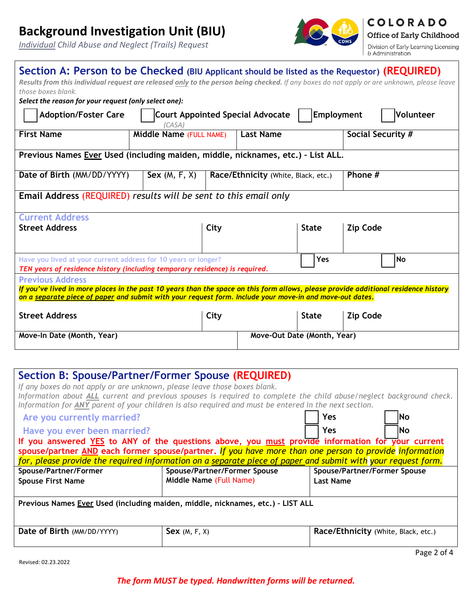# **Background Investigation Unit (BIU)**

*Individual Child Abuse and Neglect (Trails) Request*



**COLORADO Office of Early Childhood** 

Division of Early Learning Licensing & Administration

| Section A: Person to be Checked (BIU Applicant should be listed as the Requestor) (REQUIRED)                                                                                                                                                    |                                                                                                                                            |                                     |                             |                   |                 |  |
|-------------------------------------------------------------------------------------------------------------------------------------------------------------------------------------------------------------------------------------------------|--------------------------------------------------------------------------------------------------------------------------------------------|-------------------------------------|-----------------------------|-------------------|-----------------|--|
|                                                                                                                                                                                                                                                 | Results from this individual request are released only to the person being checked. If any boxes do not apply or are unknown, please leave |                                     |                             |                   |                 |  |
| those boxes blank.                                                                                                                                                                                                                              |                                                                                                                                            |                                     |                             |                   |                 |  |
| Select the reason for your request (only select one):                                                                                                                                                                                           |                                                                                                                                            |                                     |                             |                   |                 |  |
| Employment<br>Volunteer<br><b>Adoption/Foster Care</b><br><b>Court Appointed Special Advocate</b><br>(CASA)                                                                                                                                     |                                                                                                                                            |                                     |                             |                   |                 |  |
| <b>First Name</b>                                                                                                                                                                                                                               | Middle Name (FULL NAME)                                                                                                                    | <b>Last Name</b>                    |                             | Social Security # |                 |  |
| Previous Names Ever Used (including maiden, middle, nicknames, etc.) - List ALL.                                                                                                                                                                |                                                                                                                                            |                                     |                             |                   |                 |  |
| Date of Birth (MM/DD/YYYY)                                                                                                                                                                                                                      | Sex(M, F, X)                                                                                                                               | Race/Ethnicity (White, Black, etc.) |                             | Phone #           |                 |  |
| Email Address (REQUIRED) results will be sent to this email only                                                                                                                                                                                |                                                                                                                                            |                                     |                             |                   |                 |  |
| <b>Current Address</b>                                                                                                                                                                                                                          |                                                                                                                                            |                                     |                             |                   |                 |  |
| <b>Street Address</b>                                                                                                                                                                                                                           |                                                                                                                                            | City                                |                             | <b>State</b>      | <b>Zip Code</b> |  |
| Yes<br>No<br>Have you lived at your current address for 10 years or longer?<br>TEN years of residence history (including temporary residence) is required.                                                                                      |                                                                                                                                            |                                     |                             |                   |                 |  |
| <b>Previous Address</b>                                                                                                                                                                                                                         |                                                                                                                                            |                                     |                             |                   |                 |  |
| If you've lived in more places in the past 10 years than the space on this form allows, please provide additional residence history<br>on a separate piece of paper and submit with your request form. Include your move-in and move-out dates. |                                                                                                                                            |                                     |                             |                   |                 |  |
| <b>Street Address</b>                                                                                                                                                                                                                           |                                                                                                                                            | City                                |                             | <b>State</b>      | <b>Zip Code</b> |  |
| Move-In Date (Month, Year)                                                                                                                                                                                                                      |                                                                                                                                            |                                     | Move-Out Date (Month, Year) |                   |                 |  |

| Section B: Spouse/Partner/Former Spouse (REQUIRED)<br>If any boxes do not apply or are unknown, please leave those boxes blank.<br>Information about ALL current and previous spouses is required to complete the child abuse/neglect background check.<br>Information for ANY parent of your children is also required and must be entered in the next section. |                                                     |                              |  |  |  |
|------------------------------------------------------------------------------------------------------------------------------------------------------------------------------------------------------------------------------------------------------------------------------------------------------------------------------------------------------------------|-----------------------------------------------------|------------------------------|--|--|--|
| Are you currently married?                                                                                                                                                                                                                                                                                                                                       |                                                     | Yes<br>lNo                   |  |  |  |
| Have you ever been married?                                                                                                                                                                                                                                                                                                                                      | <b>Yes</b><br>INo                                   |                              |  |  |  |
| If you answered YES to ANY of the questions above, you must provide information for your current<br>spouse/partner AND each former spouse/partner. If you have more than one person to provide information<br>for, please provide the required information on a separate piece of paper and submit with your request form.                                       |                                                     |                              |  |  |  |
| Spouse/Partner/Former                                                                                                                                                                                                                                                                                                                                            | Spouse/Partner/Former Spouse                        | Spouse/Partner/Former Spouse |  |  |  |
| <b>Spouse First Name</b>                                                                                                                                                                                                                                                                                                                                         | Middle Name (Full Name)                             | <b>Last Name</b>             |  |  |  |
| Previous Names Ever Used (including maiden, middle, nicknames, etc.) - LIST ALL                                                                                                                                                                                                                                                                                  |                                                     |                              |  |  |  |
| Date of Birth (MM/DD/YYYY)                                                                                                                                                                                                                                                                                                                                       | Sex(M, F, X)<br>Race/Ethnicity (White, Black, etc.) |                              |  |  |  |
|                                                                                                                                                                                                                                                                                                                                                                  |                                                     | Page 2 of 4                  |  |  |  |

Revised: 02.23.2022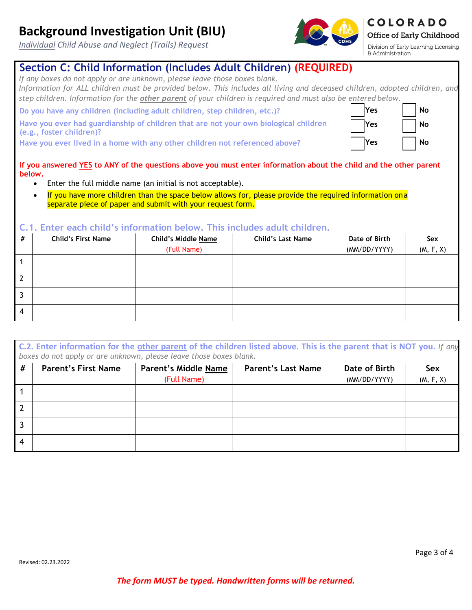## **Background Investigation Unit (BIU)**

*Individual Child Abuse and Neglect (Trails) Request*

### **Section C: Child Information (Includes Adult Children) (REQUIRED)**

*If any boxes do not apply or are unknown, please leave those boxes blank. Information for ALL children must be provided below. This includes all living and deceased children, adopted children, and step children. Information for the other parent of your children is required and must also be entered below.*

**Do you have any children (including adult children, step children, etc.)? Wes No** 

**Have you ever had guardianship of children that are not your own biological children (e.g., foster children)?**

**Have you ever lived in a home with any other children not referenced above? Yes No** 

**If you answered YES to ANY of the questions above you must enter information about the child and the other parent below.** 

- Enter the full middle name (an initial is not acceptable).
- If you have more children than the space below allows for, please provide the required information on a separate piece of paper and submit with your request form.

#### **C.1. Enter each child's information below. This includes adult children.**

| # | <b>Child's First Name</b> | <b>Child's Middle Name</b> | <b>Child's Last Name</b> | Date of Birth | Sex       |
|---|---------------------------|----------------------------|--------------------------|---------------|-----------|
|   |                           | (Full Name)                |                          | (MM/DD/YYYY)  | (M, F, X) |
|   |                           |                            |                          |               |           |
|   |                           |                            |                          |               |           |
|   |                           |                            |                          |               |           |
| 4 |                           |                            |                          |               |           |

**C.2. Enter information for the other parent of the children listed above. This is the parent that is NOT you.** *If any boxes do not apply or are unknown, please leave those boxes blank.*

| #  | <b>Parent's First Name</b> | Parent's Middle Name | <b>Parent's Last Name</b> | Date of Birth | Sex       |
|----|----------------------------|----------------------|---------------------------|---------------|-----------|
|    |                            | (Full Name)          |                           | (MM/DD/YYYY)  | (M, F, X) |
|    |                            |                      |                           |               |           |
|    |                            |                      |                           |               |           |
|    |                            |                      |                           |               |           |
| -4 |                            |                      |                           |               |           |

*The form MUST be typed. Handwritten forms will be returned.*



**Yes No**